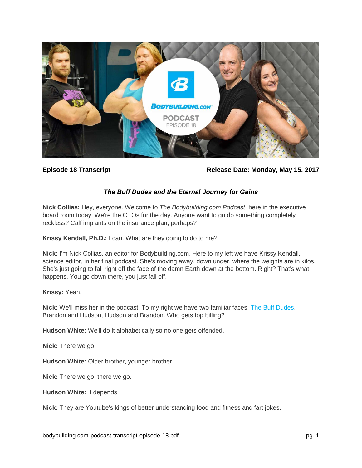

**Episode 18 Transcript Release Date: Monday, May 15, 2017**

# *The Buff Dudes and the Eternal Journey for Gains*

**Nick Collias:** Hey, everyone. Welcome to *The Bodybuilding.com Podcast*, here in the executive board room today. We're the CEOs for the day. Anyone want to go do something completely reckless? Calf implants on the insurance plan, perhaps?

**Krissy Kendall, Ph.D.:** I can. What are they going to do to me?

**Nick:** I'm Nick Collias, an editor for Bodybuilding.com. Here to my left we have Krissy Kendall, science editor, in her final podcast. She's moving away, down under, where the weights are in kilos. She's just going to fall right off the face of the damn Earth down at the bottom. Right? That's what happens. You go down there, you just fall off.

### **Krissy:** Yeah.

**Nick:** We'll miss her in the podcast. To my right we have two familiar faces, [The Buff Dudes,](https://www.bodybuilding.com/author/the-buff-dudes) Brandon and Hudson, Hudson and Brandon. Who gets top billing?

**Hudson White:** We'll do it alphabetically so no one gets offended.

**Nick:** There we go.

**Hudson White:** Older brother, younger brother.

**Nick:** There we go, there we go.

**Hudson White:** It depends.

**Nick:** They are Youtube's kings of better understanding food and fitness and fart jokes.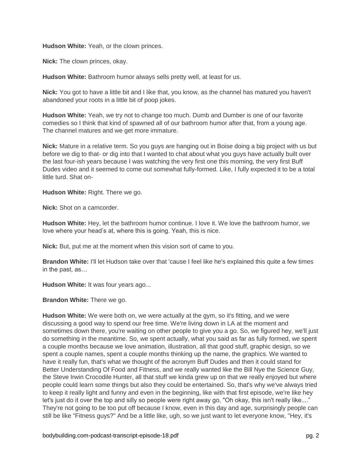**Hudson White:** Yeah, or the clown princes.

**Nick:** The clown princes, okay.

**Hudson White:** Bathroom humor always sells pretty well, at least for us.

**Nick:** You got to have a little bit and I like that, you know, as the channel has matured you haven't abandoned your roots in a little bit of poop jokes.

**Hudson White:** Yeah, we try not to change too much. Dumb and Dumber is one of our favorite comedies so I think that kind of spawned all of our bathroom humor after that, from a young age. The channel matures and we get more immature.

**Nick:** Mature in a relative term. So you guys are hanging out in Boise doing a big project with us but before we dig to that- or dig into that I wanted to chat about what you guys have actually built over the last four-ish years because I was watching the very first one this morning, the very first Buff Dudes video and it seemed to come out somewhat fully-formed. Like, I fully expected it to be a total little turd. Shat on-

**Hudson White:** Right. There we go.

**Nick:** Shot on a camcorder.

**Hudson White:** Hey, let the bathroom humor continue. I love it. We love the bathroom humor, we love where your head's at, where this is going. Yeah, this is nice.

**Nick:** But, put me at the moment when this vision sort of came to you.

**Brandon White:** I'll let Hudson take over that 'cause I feel like he's explained this quite a few times in the past, as…

**Hudson White:** It was four years ago...

**Brandon White:** There we go.

**Hudson White:** We were both on, we were actually at the gym, so it's fitting, and we were discussing a good way to spend our free time. We're living down in LA at the moment and sometimes down there, you're waiting on other people to give you a go. So, we figured hey, we'll just do something in the meantime. So, we spent actually, what you said as far as fully formed, we spent a couple months because we love animation, illustration, all that good stuff, graphic design, so we spent a couple names, spent a couple months thinking up the name, the graphics. We wanted to have it really fun, that's what we thought of the acronym Buff Dudes and then it could stand for Better Understanding Of Food and Fitness, and we really wanted like the Bill Nye the Science Guy, the Steve Irwin Crocodile Hunter, all that stuff we kinda grew up on that we really enjoyed but where people could learn some things but also they could be entertained. So, that's why we've always tried to keep it really light and funny and even in the beginning, like with that first episode, we're like hey let's just do it over the top and silly so people were right away go, "Oh okay, this isn't really like...." They're not going to be too put off because I know, even in this day and age, surprisingly people can still be like "Fitness guys?" And be a little like, ugh, so we just want to let everyone know, "Hey, it's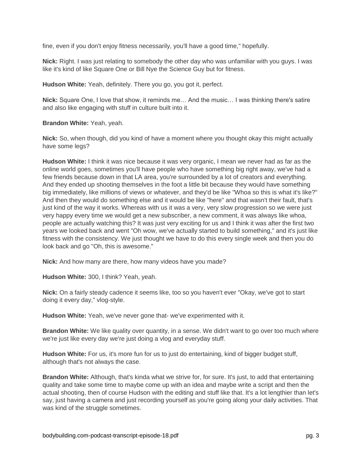fine, even if you don't enjoy fitness necessarily, you'll have a good time," hopefully.

**Nick:** Right. I was just relating to somebody the other day who was unfamiliar with you guys. I was like it's kind of like Square One or Bill Nye the Science Guy but for fitness.

**Hudson White:** Yeah, definitely. There you go, you got it, perfect.

**Nick:** Square One, I love that show, it reminds me… And the music… I was thinking there's satire and also like engaging with stuff in culture built into it.

**Brandon White:** Yeah, yeah.

**Nick:** So, when though, did you kind of have a moment where you thought okay this might actually have some legs?

**Hudson White:** I think it was nice because it was very organic, I mean we never had as far as the online world goes, sometimes you'll have people who have something big right away, we've had a few friends because down in that LA area, you're surrounded by a lot of creators and everything. And they ended up shooting themselves in the foot a little bit because they would have something big immediately, like millions of views or whatever, and they'd be like "Whoa so this is what it's like?" And then they would do something else and it would be like "here" and that wasn't their fault, that's just kind of the way it works. Whereas with us it was a very, very slow progression so we were just very happy every time we would get a new subscriber, a new comment, it was always like whoa, people are actually watching this? It was just very exciting for us and I think it was after the first two years we looked back and went "Oh wow, we've actually started to build something," and it's just like fitness with the consistency. We just thought we have to do this every single week and then you do look back and go "Oh, this is awesome."

**Nick:** And how many are there, how many videos have you made?

**Hudson White:** 300, I think? Yeah, yeah.

**Nick:** On a fairly steady cadence it seems like, too so you haven't ever "Okay, we've got to start doing it every day," vlog-style.

**Hudson White:** Yeah, we've never gone that- we've experimented with it.

**Brandon White:** We like quality over quantity, in a sense. We didn't want to go over too much where we're just like every day we're just doing a vlog and everyday stuff.

**Hudson White:** For us, it's more fun for us to just do entertaining, kind of bigger budget stuff, although that's not always the case.

**Brandon White:** Although, that's kinda what we strive for, for sure. It's just, to add that entertaining quality and take some time to maybe come up with an idea and maybe write a script and then the actual shooting, then of course Hudson with the editing and stuff like that. It's a lot lengthier than let's say, just having a camera and just recording yourself as you're going along your daily activities. That was kind of the struggle sometimes.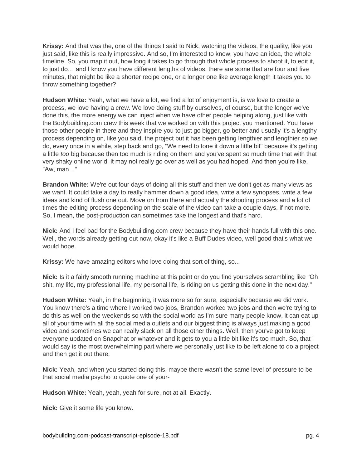**Krissy:** And that was the, one of the things I said to Nick, watching the videos, the quality, like you just said, like this is really impressive. And so, I'm interested to know, you have an idea, the whole timeline. So, you map it out, how long it takes to go through that whole process to shoot it, to edit it, to just do… and I know you have different lengths of videos, there are some that are four and five minutes, that might be like a shorter recipe one, or a longer one like average length it takes you to throw something together?

**Hudson White:** Yeah, what we have a lot, we find a lot of enjoyment is, is we love to create a process, we love having a crew. We love doing stuff by ourselves, of course, but the longer we've done this, the more energy we can inject when we have other people helping along, just like with the Bodybuilding.com crew this week that we worked on with this project you mentioned. You have those other people in there and they inspire you to just go bigger, go better and usually it's a lengthy process depending on, like you said, the project but it has been getting lengthier and lengthier so we do, every once in a while, step back and go, "We need to tone it down a little bit" because it's getting a little *too* big because then too much is riding on them and you've spent *so* much time that with that very shaky online world, it may not really go over as well as you had hoped. And then you're like, "Aw, man…"

**Brandon White:** We're out four days of doing all this stuff and then we don't get as many views as we want. It could take a day to really hammer down a good idea, write a few synopses, write a few ideas and kind of flush one out. Move on from there and actually the shooting process and a lot of times the editing process depending on the scale of the video can take a couple days, if not more. So, I mean, the post-production can sometimes take the longest and that's hard.

**Nick:** And I feel bad for the Bodybuilding.com crew because they have their hands full with this one. Well, the words already getting out now, okay it's like a Buff Dudes video, well good that's what we would hope.

**Krissy:** We have amazing editors who love doing that sort of thing, so...

**Nick:** Is it a fairly smooth running machine at this point or do you find yourselves scrambling like "Oh shit, my life, my professional life, my personal life, is riding on us getting this done in the next day."

**Hudson White:** Yeah, in the beginning, it was more so for sure, especially because we did work. You know there's a time where I worked two jobs, Brandon worked two jobs and then we're trying to do this as well on the weekends so with the social world as I'm sure many people know, it can eat up all of your time with all the social media outlets and our biggest thing is always just making a good video and sometimes we can really slack on all those other things. Well, then you've got to keep everyone updated on Snapchat or whatever and it gets to you a little bit like it's too much. So, that I would say is the most overwhelming part where we personally just like to be left alone to do a project and then get it out there.

**Nick:** Yeah, and when you started doing this, maybe there wasn't the same level of pressure to be that social media psycho to quote one of your-

**Hudson White:** Yeah, yeah, yeah for sure, not at all. Exactly.

**Nick:** Give it some life you know.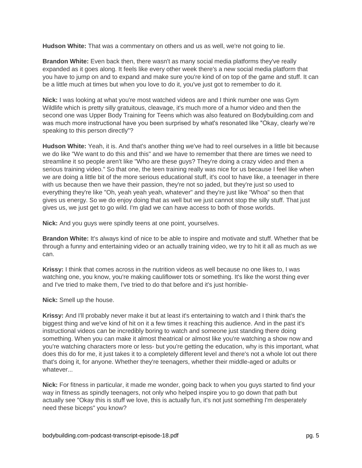**Hudson White:** That was a commentary on others and us as well, we're not going to lie.

**Brandon White:** Even back then, there wasn't as many social media platforms they've really expanded as it goes along. It feels like every other week there's a new social media platform that you have to jump on and to expand and make sure you're kind of on top of the game and stuff. It can be a little much at times but when you love to do it, you've just got to remember to do it.

**Nick:** I was looking at what you're most watched videos are and I think number one was Gym Wildlife which is pretty silly gratuitous, cleavage, it's much more of a humor video and then the second one was Upper Body Training for Teens which was also featured on Bodybuilding.com and was much more instructional have you been surprised by what's resonated like "Okay, clearly we're speaking to this person directly"?

**Hudson White:** Yeah, it is. And that's another thing we've had to reel ourselves in a little bit because we do like "We want to do this and this" and we have to remember that there are times we need to streamline it so people aren't like "Who are these guys? They're doing a crazy video and then a serious training video." So that one, the teen training really was nice for us because I feel like when we are doing a little bit of the more serious educational stuff, it's cool to have like, a teenager in there with us because then we have their passion, they're not so jaded, but they're just so used to everything they're like "Oh, yeah yeah yeah, whatever" and they're just like "Whoa" so then that gives us energy. So we do enjoy doing that as well but we just cannot stop the silly stuff. That just gives us, we just get to go wild. I'm glad we can have access to both of those worlds.

**Nick:** And you guys were spindly teens at one point, yourselves.

**Brandon White:** It's always kind of nice to be able to inspire and motivate and stuff. Whether that be through a funny and entertaining video or an actually training video, we try to hit it all as much as we can.

**Krissy:** I think that comes across in the nutrition videos as well because no one likes to, I was watching one, you know, you're making cauliflower tots or something. It's like the worst thing ever and I've tried to make them, I've tried to do that before and it's just horrible-

**Nick:** Smell up the house.

**Krissy:** And I'll probably never make it but at least it's entertaining to watch and I think that's the biggest thing and we've kind of hit on it a few times it reaching this audience. And in the past it's instructional videos can be incredibly boring to watch and someone just standing there doing something. When you can make it almost theatrical or almost like you're watching a show now and you're watching characters more or less- but you're getting the education, why is this important, what does this do for me, it just takes it to a completely different level and there's not a whole lot out there that's doing it, for anyone. Whether they're teenagers, whether their middle-aged or adults or whatever...

**Nick:** For fitness in particular, it made me wonder, going back to when you guys started to find your way in fitness as spindly teenagers, not only who helped inspire you to go down that path but actually see "Okay this is stuff we love, this is actually fun, it's not just something I'm desperately need these biceps" you know?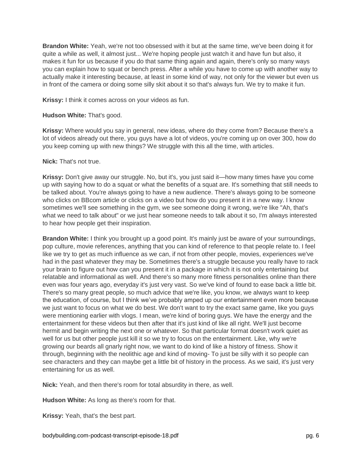**Brandon White:** Yeah, we're not too obsessed with it but at the same time, we've been doing it for quite a while as well, it almost just... We're hoping people just watch it and have fun but also, it makes it fun for us because if you do that same thing again and again, there's only so many ways you can explain how to squat or bench press. After a while you have to come up with another way to actually make it interesting because, at least in some kind of way, not only for the viewer but even us in front of the camera or doing some silly skit about it so that's always fun. We try to make it fun.

**Krissy:** I think it comes across on your videos as fun.

### **Hudson White:** That's good.

**Krissy:** Where would you say in general, new ideas, where do they come from? Because there's a lot of videos already out there, you guys have a lot of videos, you're coming up on over 300, how do you keep coming up with new things? We struggle with this all the time, with articles.

#### **Nick:** That's not true.

**Krissy:** Don't give away our struggle. No, but it's, you just said it—how many times have you come up with saying how to do a squat or what the benefits of a squat are. It's something that still needs to be talked about. You're always going to have a new audience. There's always going to be someone who clicks on BBcom article or clicks on a video but how do you present it in a new way. I know sometimes we'll see something in the gym, we see someone doing it wrong, we're like "Ah, that's what we need to talk about" or we just hear someone needs to talk about it so, I'm always interested to hear how people get their inspiration.

**Brandon White:** I think you brought up a good point. It's mainly just be aware of your surroundings, pop culture, movie references, anything that you can kind of reference to that people relate to. I feel like we try to get as much influence as we can, if not from other people, movies, experiences we've had in the past whatever they may be. Sometimes there's a struggle because you really have to rack your brain to figure out how can you present it in a package in which it is not only entertaining but relatable and informational as well. And there's so many more fitness personalities online than there even was four years ago, everyday it's just very vast. So we've kind of found to ease back a little bit. There's so many great people, so much advice that we're like, you know, we always want to keep the education, of course, but I think we've probably amped up our entertainment even more because we just want to focus on what we do best. We don't want to try the exact same game, like you guys were mentioning earlier with vlogs. I mean, we're kind of boring guys. We have the energy and the entertainment for these videos but then after that it's just kind of like all right. We'll just become hermit and begin writing the next one or whatever. So that particular format doesn't work quiet as well for us but other people just kill it so we try to focus on the entertainment. Like, why we're growing our beards all gnarly right now, we want to do kind of like a history of fitness. Show it through, beginning with the neolithic age and kind of moving- To just be silly with it so people can see characters and they can maybe get a little bit of history in the process. As we said, it's just very entertaining for us as well.

**Nick:** Yeah, and then there's room for total absurdity in there, as well.

**Hudson White:** As long as there's room for that.

**Krissy:** Yeah, that's the best part.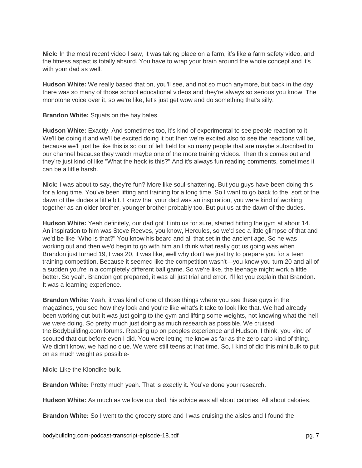**Nick:** In the most recent video I saw, it was taking place on a farm, it's like a farm safety video, and the fitness aspect is totally absurd. You have to wrap your brain around the whole concept and it's with your dad as well.

**Hudson White:** We really based that on, you'll see, and not so much anymore, but back in the day there was so many of those school educational videos and they're always so serious you know. The monotone voice over it, so we're like, let's just get wow and do something that's silly.

**Brandon White:** Squats on the hay bales.

**Hudson White:** Exactly. And sometimes too, it's kind of experimental to see people reaction to it. We'll be doing it and we'll be excited doing it but then we're excited also to see the reactions will be, because we'll just be like this is so out of left field for so many people that are maybe subscribed to our channel because they watch maybe one of the more training videos. Then this comes out and they're just kind of like "What the heck is this?" And it's always fun reading comments, sometimes it can be a little harsh.

**Nick:** I was about to say, they're fun? More like soul-shattering. But you guys have been doing this for a long time. You've been lifting and training for a long time. So I want to go back to the, sort of the dawn of the dudes a little bit. I know that your dad was an inspiration, you were kind of working together as an older brother, younger brother probably too. But put us at the dawn of the dudes.

**Hudson White:** Yeah definitely, our dad got it into us for sure, started hitting the gym at about 14. An inspiration to him was Steve Reeves, you know, Hercules, so we'd see a little glimpse of that and we'd be like "Who is that?" You know his beard and all that set in the ancient age. So he was working out and then we'd begin to go with him an I think what really got us going was when Brandon just turned 19, I was 20, it was like, well why don't we just try to prepare you for a teen training competition. Because it seemed like the competition wasn't—you know you turn 20 and all of a sudden you're in a completely different ball game. So we're like, the teenage might work a little better. So yeah. Brandon got prepared, it was all just trial and error. I'll let you explain that Brandon. It was a learning experience.

**Brandon White:** Yeah, it was kind of one of those things where you see these guys in the magazines, you see how they look and you're like what's it take to look like that. We had already been working out but it was just going to the gym and lifting some weights, not knowing what the hell we were doing. So pretty much just doing as much research as possible. We cruised the Bodybuilding.com forums. Reading up on peoples experience and Hudson, I think, you kind of scouted that out before even I did. You were letting me know as far as the zero carb kind of thing. We didn't know, we had no clue. We were still teens at that time. So, I kind of did this mini bulk to put on as much weight as possible-

**Nick:** Like the Klondike bulk.

**Brandon White:** Pretty much yeah. That is exactly it. You've done your research.

**Hudson White:** As much as we love our dad, his advice was all about calories. All about calories.

**Brandon White:** So I went to the grocery store and I was cruising the aisles and I found the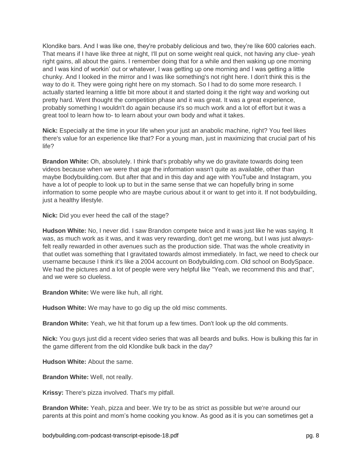Klondike bars. And I was like one, they're probably delicious and two, they're like 600 calories each. That means if I have like three at night, I'll put on some weight real quick, not having any clue- yeah right gains, all about the gains. I remember doing that for a while and then waking up one morning and I was kind of workin' out or whatever, I was getting up one morning and I was getting a little chunky. And I looked in the mirror and I was like something's not right here. I don't think this is the way to do it. They were going right here on my stomach. So I had to do some more research. I actually started learning a little bit more about it and started doing it the right way and working out pretty hard. Went thought the competition phase and it was great. It was a great experience, probably something I wouldn't do again because it's so much work and a lot of effort but it was a great tool to learn how to- to learn about your own body and what it takes.

**Nick:** Especially at the time in your life when your just an anabolic machine, right? You feel likes there's value for an experience like that? For a young man, just in maximizing that crucial part of his life?

**Brandon White:** Oh, absolutely. I think that's probably why we do gravitate towards doing teen videos because when we were that age the information wasn't quite as available, other than maybe Bodybuilding.com. But after that and in this day and age with YouTube and Instagram, you have a lot of people to look up to but in the same sense that we can hopefully bring in some information to some people who are maybe curious about it or want to get into it. If not bodybuilding, just a healthy lifestyle.

**Nick:** Did you ever heed the call of the stage?

**Hudson White:** No, I never did. I saw Brandon compete twice and it was just like he was saying. It was, as much work as it was, and it was very rewarding, don't get me wrong, but I was just alwaysfelt really rewarded in other avenues such as the production side. That was the whole creativity in that outlet was something that I gravitated towards almost immediately. In fact, we need to check our username because I think it's like a 2004 account on Bodybuilding.com. Old school on BodySpace. We had the pictures and a lot of people were very helpful like "Yeah, we recommend this and that", and we were so clueless.

**Brandon White:** We were like huh, all right.

**Hudson White:** We may have to go dig up the old misc comments.

**Brandon White:** Yeah, we hit that forum up a few times. Don't look up the old comments.

**Nick:** You guys just did a recent video series that was all beards and bulks. How is bulking this far in the game different from the old Klondike bulk back in the day?

**Hudson White:** About the same.

**Brandon White:** Well, not really.

**Krissy:** There's pizza involved. That's my pitfall.

**Brandon White:** Yeah, pizza and beer. We try to be as strict as possible but we're around our parents at this point and mom's home cooking you know. As good as it is you can sometimes get a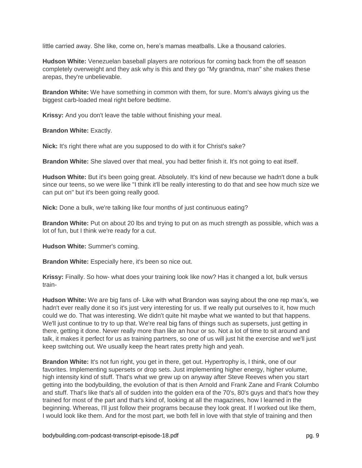little carried away. She like, come on, here's mamas meatballs. Like a thousand calories.

**Hudson White:** Venezuelan baseball players are notorious for coming back from the off season completely overweight and they ask why is this and they go "My grandma, man" she makes these arepas, they're unbelievable.

**Brandon White:** We have something in common with them, for sure. Mom's always giving us the biggest carb-loaded meal right before bedtime.

**Krissy:** And you don't leave the table without finishing your meal.

**Brandon White:** Exactly.

**Nick:** It's right there what are you supposed to do with it for Christ's sake?

**Brandon White:** She slaved over that meal, you had better finish it. It's not going to eat itself.

**Hudson White:** But it's been going great. Absolutely. It's kind of new because we hadn't done a bulk since our teens, so we were like "I think it'll be really interesting to do that and see how much size we can put on" but it's been going really good.

**Nick:** Done a bulk, we're talking like four months of just continuous eating?

**Brandon White:** Put on about 20 lbs and trying to put on as much strength as possible, which was a lot of fun, but I think we're ready for a cut.

**Hudson White:** Summer's coming.

**Brandon White:** Especially here, it's been so nice out.

**Krissy:** Finally. So how- what does your training look like now? Has it changed a lot, bulk versus train-

**Hudson White:** We are big fans of- Like with what Brandon was saying about the one rep max's, we hadn't ever really done it so it's just very interesting for us. If we really put ourselves to it, how much could we do. That was interesting. We didn't quite hit maybe what we wanted to but that happens. We'll just continue to try to up that. We're real big fans of things such as supersets, just getting in there, getting it done. Never really more than like an hour or so. Not a lot of time to sit around and talk, it makes it perfect for us as training partners, so one of us will just hit the exercise and we'll just keep switching out. We usually keep the heart rates pretty high and yeah.

**Brandon White:** It's not fun right, you get in there, get out. Hypertrophy is, I think, one of our favorites. Implementing supersets or drop sets. Just implementing higher energy, higher volume, high intensity kind of stuff. That's what we grew up on anyway after Steve Reeves when you start getting into the bodybuilding, the evolution of that is then Arnold and Frank Zane and Frank Columbo and stuff. That's like that's all of sudden into the golden era of the 70's, 80's guys and that's how they trained for most of the part and that's kind of, looking at all the magazines, how I learned in the beginning. Whereas, I'll just follow their programs because they look great. If I worked out like them, I would look like them. And for the most part, we both fell in love with that style of training and then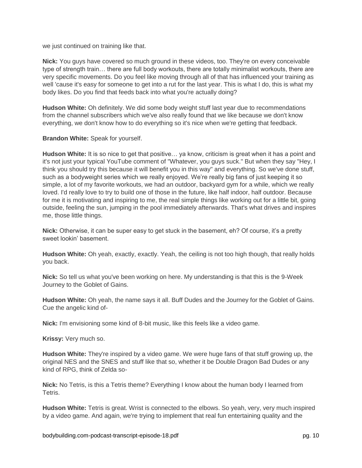we just continued on training like that.

**Nick:** You guys have covered so much ground in these videos, too. They're on every conceivable type of strength train… there are full body workouts, there are totally minimalist workouts, there are very specific movements. Do you feel like moving through all of that has influenced your training as well 'cause it's easy for someone to get into a rut for the last year. This is what I do, this is what my body likes. Do you find that feeds back into what you're actually doing?

**Hudson White:** Oh definitely. We did some body weight stuff last year due to recommendations from the channel subscribers which we've also really found that we like because we don't know everything, we don't know how to do everything so it's nice when we're getting that feedback.

**Brandon White:** Speak for yourself.

**Hudson White:** It is so nice to get that positive… ya know, criticism is great when it has a point and it's not just your typical YouTube comment of "Whatever, you guys suck." But when they say "Hey, I think you should try this because it will benefit you in this way" and everything. So we've done stuff, such as a bodyweight series which we really enjoyed. We're really big fans of just keeping it so simple, a lot of my favorite workouts, we had an outdoor, backyard gym for a while, which we really loved. I'd really love to try to build one of those in the future, like half indoor, half outdoor. Because for me it is motivating and inspiring to me, the real simple things like working out for a little bit, going outside, feeling the sun, jumping in the pool immediately afterwards. That's what drives and inspires me, those little things.

**Nick:** Otherwise, it can be super easy to get stuck in the basement, eh? Of course, it's a pretty sweet lookin' basement.

**Hudson White:** Oh yeah, exactly, exactly. Yeah, the ceiling is not too high though, that really holds you back.

**Nick:** So tell us what you've been working on here. My understanding is that this is the 9-Week Journey to the Goblet of Gains.

**Hudson White:** Oh yeah, the name says it all. Buff Dudes and the Journey for the Goblet of Gains. Cue the angelic kind of-

**Nick:** I'm envisioning some kind of 8-bit music, like this feels like a video game.

**Krissy:** Very much so.

**Hudson White:** They're inspired by a video game. We were huge fans of that stuff growing up, the original NES and the SNES and stuff like that so, whether it be Double Dragon Bad Dudes or any kind of RPG, think of Zelda so-

**Nick:** No Tetris, is this a Tetris theme? Everything I know about the human body I learned from Tetris.

**Hudson White:** Tetris is great. Wrist is connected to the elbows. So yeah, very, very much inspired by a video game. And again, we're trying to implement that real fun entertaining quality and the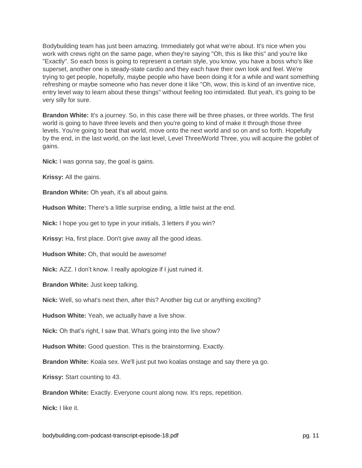Bodybuilding team has just been amazing. Immediately got what we're about. It's nice when you work with crews right on the same page, when they're saying "Oh, this is like this" and you're like "Exactly". So each boss is going to represent a certain style, you know, you have a boss who's like superset, another one is steady-state cardio and they each have their own look and feel. We're trying to get people, hopefully, maybe people who have been doing it for a while and want something refreshing or maybe someone who has never done it like "Oh, wow, this is kind of an inventive nice, entry level way to learn about these things" without feeling too intimidated. But yeah, it's going to be very silly for sure.

**Brandon White:** It's a journey. So, in this case there will be three phases, or three worlds. The first world is going to have three levels and then you're going to kind of make it through those three levels. You're going to beat that world, move onto the next world and so on and so forth. Hopefully by the end, in the last world, on the last level, Level Three/World Three, you will acquire the goblet of gains.

**Nick:** I was gonna say, the goal is gains.

**Krissy:** All the gains.

**Brandon White:** Oh yeah, it's all about gains.

**Hudson White:** There's a little surprise ending, a little twist at the end.

**Nick:** I hope you get to type in your initials, 3 letters if you win?

**Krissy:** Ha, first place. Don't give away all the good ideas.

**Hudson White:** Oh, that would be awesome!

**Nick:** AZZ. I don't know. I really apologize if I just ruined it.

**Brandon White:** Just keep talking.

**Nick:** Well, so what's next then, after this? Another big cut or anything exciting?

**Hudson White:** Yeah, we actually have a live show.

**Nick:** Oh that's right, I saw that. What's going into the live show?

**Hudson White:** Good question. This is the brainstorming. Exactly.

**Brandon White:** Koala sex. We'll just put two koalas onstage and say there ya go.

**Krissy:** Start counting to 43.

**Brandon White:** Exactly. Everyone count along now. It's reps, repetition.

**Nick:** I like it.